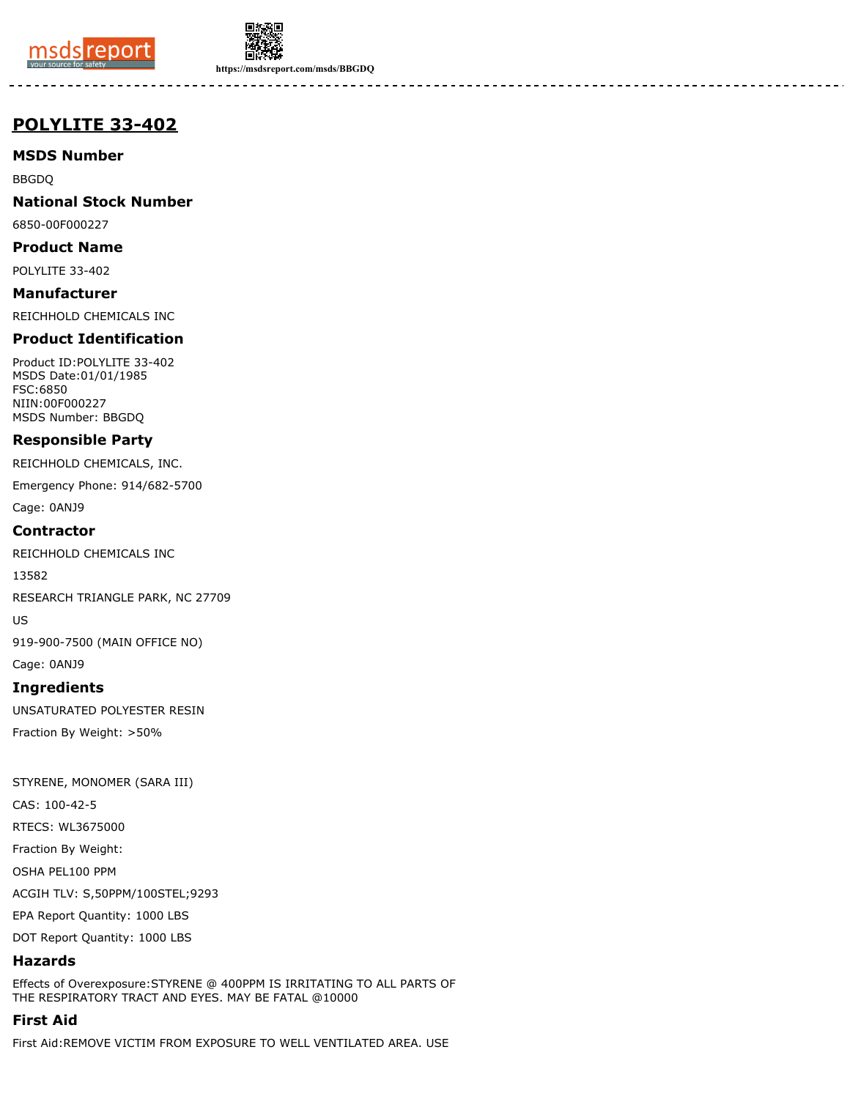



**https://msdsreport.com/msds/BBGDQ**

# **POLYLITE 33-402**

**MSDS Number**

BBGDQ

**National Stock Number**

6850-00F000227

**Product Name**

POLYLITE 33-402

**Manufacturer** REICHHOLD CHEMICALS INC

# **Product Identification**

Product ID:POLYLITE 33-402 MSDS Date:01/01/1985 FSC:6850 NIIN:00F000227 MSDS Number: BBGDQ

# **Responsible Party**

REICHHOLD CHEMICALS, INC.

Emergency Phone: 914/682-5700

Cage: 0ANJ9

## **Contractor**

REICHHOLD CHEMICALS INC

13582

RESEARCH TRIANGLE PARK, NC 27709

US

919-900-7500 (MAIN OFFICE NO)

Cage: 0ANJ9

# **Ingredients**

UNSATURATED POLYESTER RESIN Fraction By Weight: >50%

STYRENE, MONOMER (SARA III) CAS: 100-42-5 RTECS: WL3675000 Fraction By Weight: OSHA PEL100 PPM ACGIH TLV: S,50PPM/100STEL;9293 EPA Report Quantity: 1000 LBS DOT Report Quantity: 1000 LBS

# **Hazards**

Effects of Overexposure:STYRENE @ 400PPM IS IRRITATING TO ALL PARTS OF THE RESPIRATORY TRACT AND EYES. MAY BE FATAL @10000

# **First Aid**

First Aid:REMOVE VICTIM FROM EXPOSURE TO WELL VENTILATED AREA. USE